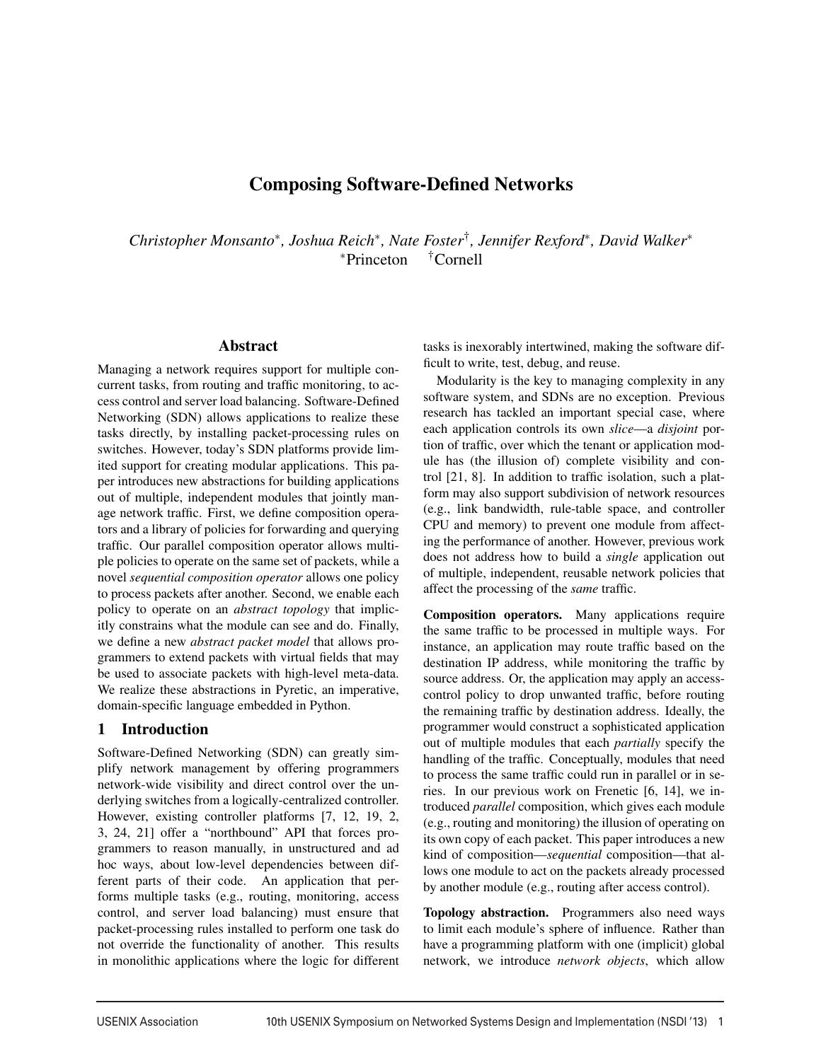# Composing Software-Defined Networks

*Christopher Monsanto*∗*, Joshua Reich*∗*, Nate Foster*†*, Jennifer Rexford*∗*, David Walker*<sup>∗</sup> <sup>∗</sup>Princeton †Cornell

### Abstract

Managing a network requires support for multiple concurrent tasks, from routing and traffic monitoring, to access control and server load balancing. Software-Defined Networking (SDN) allows applications to realize these tasks directly, by installing packet-processing rules on switches. However, today's SDN platforms provide limited support for creating modular applications. This paper introduces new abstractions for building applications out of multiple, independent modules that jointly manage network traffic. First, we define composition operators and a library of policies for forwarding and querying traffic. Our parallel composition operator allows multiple policies to operate on the same set of packets, while a novel *sequential composition operator* allows one policy to process packets after another. Second, we enable each policy to operate on an *abstract topology* that implicitly constrains what the module can see and do. Finally, we define a new *abstract packet model* that allows programmers to extend packets with virtual fields that may be used to associate packets with high-level meta-data. We realize these abstractions in Pyretic, an imperative, domain-specific language embedded in Python.

## 1 Introduction

Software-Defined Networking (SDN) can greatly simplify network management by offering programmers network-wide visibility and direct control over the underlying switches from a logically-centralized controller. However, existing controller platforms [7, 12, 19, 2, 3, 24, 21] offer a "northbound" API that forces programmers to reason manually, in unstructured and ad hoc ways, about low-level dependencies between different parts of their code. An application that performs multiple tasks (e.g., routing, monitoring, access control, and server load balancing) must ensure that packet-processing rules installed to perform one task do not override the functionality of another. This results in monolithic applications where the logic for different

tasks is inexorably intertwined, making the software difficult to write, test, debug, and reuse.

Modularity is the key to managing complexity in any software system, and SDNs are no exception. Previous research has tackled an important special case, where each application controls its own *slice*—a *disjoint* portion of traffic, over which the tenant or application module has (the illusion of) complete visibility and control [21, 8]. In addition to traffic isolation, such a platform may also support subdivision of network resources (e.g., link bandwidth, rule-table space, and controller CPU and memory) to prevent one module from affecting the performance of another. However, previous work does not address how to build a *single* application out of multiple, independent, reusable network policies that affect the processing of the *same* traffic.

Composition operators. Many applications require the same traffic to be processed in multiple ways. For instance, an application may route traffic based on the destination IP address, while monitoring the traffic by source address. Or, the application may apply an accesscontrol policy to drop unwanted traffic, before routing the remaining traffic by destination address. Ideally, the programmer would construct a sophisticated application out of multiple modules that each *partially* specify the handling of the traffic. Conceptually, modules that need to process the same traffic could run in parallel or in series. In our previous work on Frenetic [6, 14], we introduced *parallel* composition, which gives each module (e.g., routing and monitoring) the illusion of operating on its own copy of each packet. This paper introduces a new kind of composition—*sequential* composition—that allows one module to act on the packets already processed by another module (e.g., routing after access control).

Topology abstraction. Programmers also need ways to limit each module's sphere of influence. Rather than have a programming platform with one (implicit) global network, we introduce *network objects*, which allow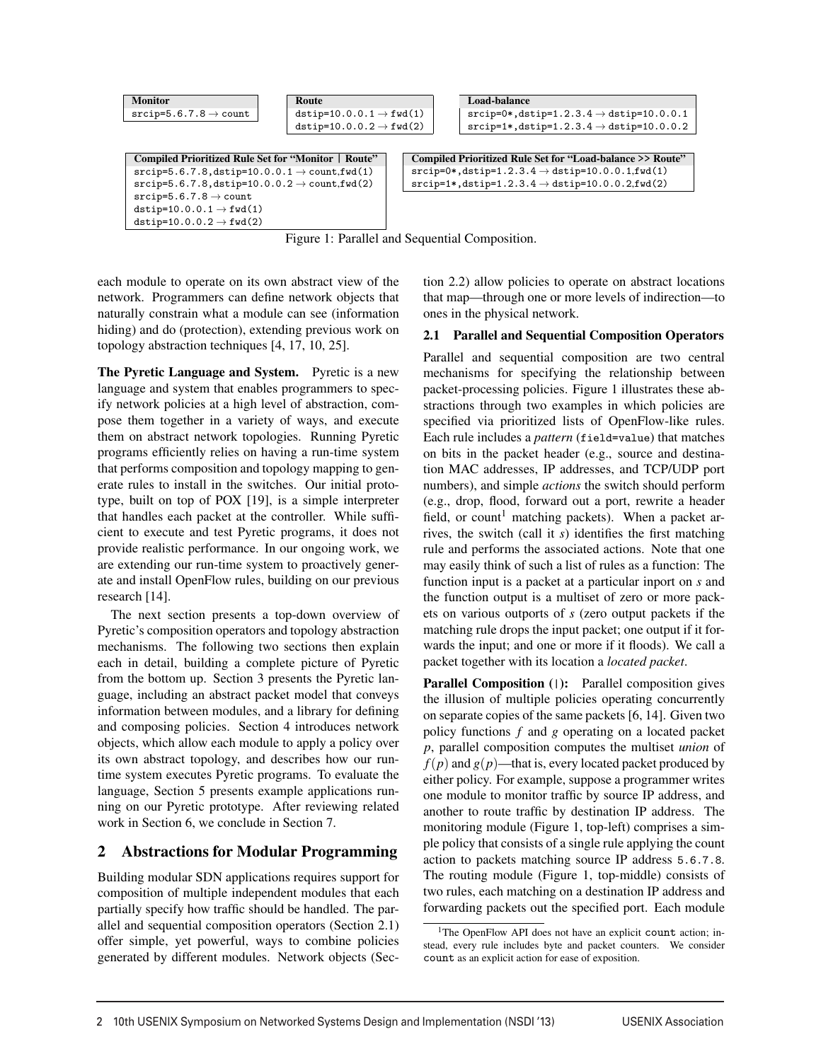```
Monitor
srcip=5.6.7.8 \rightarrow \text{count}Route
                                          dstip=10.0.0.1 \rightarrow fwd(1)dstip=10.0.0.2 \rightarrow fwd(2)
                                                                                     Load-balance
Compiled Prioritized Rule Set for "Monitor | Route"
srcip=5.6.7.8, dstip=10.0.0.1 \rightarrow count, fwd(1)
\texttt{srcip=5.6.7.8}, \texttt{dstip=10.0.0.2} \rightarrow \texttt{count,fwd(2)}srcip=5.6.7.8 \rightarrow countdstip=10.0.0.1 \rightarrow fwd(1)
dstip=10.0.0.2 \rightarrow fwd(2)
                                                                       Compiled Prioritized Rule Set for "Load-balance >> Route"
                                                                       srcip=0*, dstip=1.2.3.4 \rightarrow dtip=10.0.0.1, fwd(1)\verb+srcip=1*, \verb+dstip=1.2.3.4 \rightarrow \verb+dstip=10.0.0.2, \verb+fwd(2)
```

```
srcip=0*, distip=1.2.3.4 \rightarrow distip=10.0.0.1srcip=1*,\text{dstip}=1.2.3.4 \rightarrow \text{dstip}=10.0.0.2
```
Figure 1: Parallel and Sequential Composition.

each module to operate on its own abstract view of the network. Programmers can define network objects that naturally constrain what a module can see (information hiding) and do (protection), extending previous work on topology abstraction techniques [4, 17, 10, 25].

The Pyretic Language and System. Pyretic is a new language and system that enables programmers to specify network policies at a high level of abstraction, compose them together in a variety of ways, and execute them on abstract network topologies. Running Pyretic programs efficiently relies on having a run-time system that performs composition and topology mapping to generate rules to install in the switches. Our initial prototype, built on top of POX [19], is a simple interpreter that handles each packet at the controller. While sufficient to execute and test Pyretic programs, it does not provide realistic performance. In our ongoing work, we are extending our run-time system to proactively generate and install OpenFlow rules, building on our previous research [14].

The next section presents a top-down overview of Pyretic's composition operators and topology abstraction mechanisms. The following two sections then explain each in detail, building a complete picture of Pyretic from the bottom up. Section 3 presents the Pyretic language, including an abstract packet model that conveys information between modules, and a library for defining and composing policies. Section 4 introduces network objects, which allow each module to apply a policy over its own abstract topology, and describes how our runtime system executes Pyretic programs. To evaluate the language, Section 5 presents example applications running on our Pyretic prototype. After reviewing related work in Section 6, we conclude in Section 7.

# 2 Abstractions for Modular Programming

Building modular SDN applications requires support for composition of multiple independent modules that each partially specify how traffic should be handled. The parallel and sequential composition operators (Section 2.1) offer simple, yet powerful, ways to combine policies generated by different modules. Network objects (Sec-

tion 2.2) allow policies to operate on abstract locations that map—through one or more levels of indirection—to ones in the physical network.

### 2.1 Parallel and Sequential Composition Operators

Parallel and sequential composition are two central mechanisms for specifying the relationship between packet-processing policies. Figure 1 illustrates these abstractions through two examples in which policies are specified via prioritized lists of OpenFlow-like rules. Each rule includes a *pattern* (field=value) that matches on bits in the packet header (e.g., source and destination MAC addresses, IP addresses, and TCP/UDP port numbers), and simple *actions* the switch should perform (e.g., drop, flood, forward out a port, rewrite a header field, or count<sup>1</sup> matching packets). When a packet arrives, the switch (call it *s*) identifies the first matching rule and performs the associated actions. Note that one may easily think of such a list of rules as a function: The function input is a packet at a particular inport on *s* and the function output is a multiset of zero or more packets on various outports of *s* (zero output packets if the matching rule drops the input packet; one output if it forwards the input; and one or more if it floods). We call a packet together with its location a *located packet*.

Parallel Composition (1): Parallel composition gives the illusion of multiple policies operating concurrently on separate copies of the same packets [6, 14]. Given two policy functions *f* and *g* operating on a located packet *p*, parallel composition computes the multiset *union* of  $f(p)$  and  $g(p)$ —that is, every located packet produced by either policy. For example, suppose a programmer writes one module to monitor traffic by source IP address, and another to route traffic by destination IP address. The monitoring module (Figure 1, top-left) comprises a simple policy that consists of a single rule applying the count action to packets matching source IP address 5.6.7.8. The routing module (Figure 1, top-middle) consists of two rules, each matching on a destination IP address and forwarding packets out the specified port. Each module

<sup>&</sup>lt;sup>1</sup>The OpenFlow API does not have an explicit count action; instead, every rule includes byte and packet counters. We consider count as an explicit action for ease of exposition.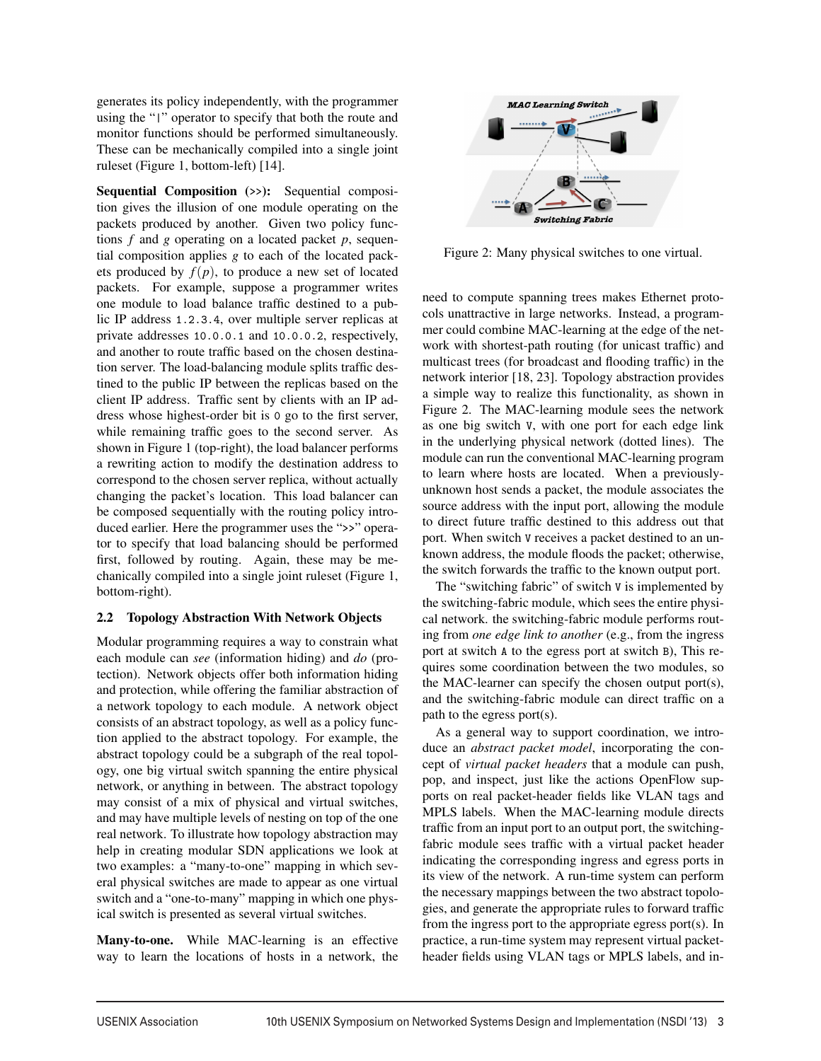generates its policy independently, with the programmer using the "|" operator to specify that both the route and monitor functions should be performed simultaneously. These can be mechanically compiled into a single joint ruleset (Figure 1, bottom-left) [14].

Sequential Composition (>>): Sequential composition gives the illusion of one module operating on the packets produced by another. Given two policy functions *f* and *g* operating on a located packet *p*, sequential composition applies *g* to each of the located packets produced by  $f(p)$ , to produce a new set of located packets. For example, suppose a programmer writes one module to load balance traffic destined to a public IP address 1.2.3.4, over multiple server replicas at private addresses 10.0.0.1 and 10.0.0.2, respectively, and another to route traffic based on the chosen destination server. The load-balancing module splits traffic destined to the public IP between the replicas based on the client IP address. Traffic sent by clients with an IP address whose highest-order bit is 0 go to the first server, while remaining traffic goes to the second server. As shown in Figure 1 (top-right), the load balancer performs a rewriting action to modify the destination address to correspond to the chosen server replica, without actually changing the packet's location. This load balancer can be composed sequentially with the routing policy introduced earlier. Here the programmer uses the ">>" operator to specify that load balancing should be performed first, followed by routing. Again, these may be mechanically compiled into a single joint ruleset (Figure 1, bottom-right).

#### 2.2 Topology Abstraction With Network Objects

Modular programming requires a way to constrain what each module can *see* (information hiding) and *do* (protection). Network objects offer both information hiding and protection, while offering the familiar abstraction of a network topology to each module. A network object consists of an abstract topology, as well as a policy function applied to the abstract topology. For example, the abstract topology could be a subgraph of the real topology, one big virtual switch spanning the entire physical network, or anything in between. The abstract topology may consist of a mix of physical and virtual switches, and may have multiple levels of nesting on top of the one real network. To illustrate how topology abstraction may help in creating modular SDN applications we look at two examples: a "many-to-one" mapping in which several physical switches are made to appear as one virtual switch and a "one-to-many" mapping in which one physical switch is presented as several virtual switches.

Many-to-one. While MAC-learning is an effective way to learn the locations of hosts in a network, the



Figure 2: Many physical switches to one virtual.

need to compute spanning trees makes Ethernet protocols unattractive in large networks. Instead, a programmer could combine MAC-learning at the edge of the network with shortest-path routing (for unicast traffic) and multicast trees (for broadcast and flooding traffic) in the network interior [18, 23]. Topology abstraction provides a simple way to realize this functionality, as shown in Figure 2. The MAC-learning module sees the network as one big switch V, with one port for each edge link in the underlying physical network (dotted lines). The module can run the conventional MAC-learning program to learn where hosts are located. When a previouslyunknown host sends a packet, the module associates the source address with the input port, allowing the module to direct future traffic destined to this address out that port. When switch V receives a packet destined to an unknown address, the module floods the packet; otherwise, the switch forwards the traffic to the known output port.

The "switching fabric" of switch V is implemented by the switching-fabric module, which sees the entire physical network. the switching-fabric module performs routing from *one edge link to another* (e.g., from the ingress port at switch A to the egress port at switch B), This requires some coordination between the two modules, so the MAC-learner can specify the chosen output port(s), and the switching-fabric module can direct traffic on a path to the egress port(s).

As a general way to support coordination, we introduce an *abstract packet model*, incorporating the concept of *virtual packet headers* that a module can push, pop, and inspect, just like the actions OpenFlow supports on real packet-header fields like VLAN tags and MPLS labels. When the MAC-learning module directs traffic from an input port to an output port, the switchingfabric module sees traffic with a virtual packet header indicating the corresponding ingress and egress ports in its view of the network. A run-time system can perform the necessary mappings between the two abstract topologies, and generate the appropriate rules to forward traffic from the ingress port to the appropriate egress port(s). In practice, a run-time system may represent virtual packetheader fields using VLAN tags or MPLS labels, and in-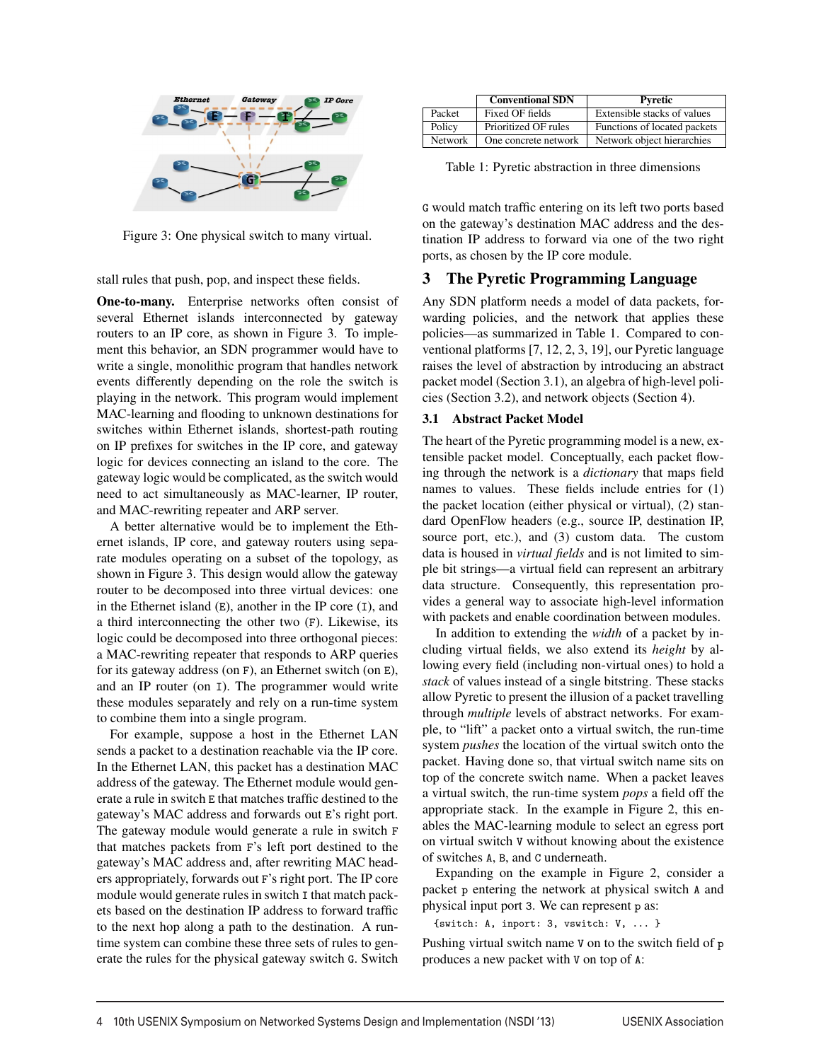

Figure 3: One physical switch to many virtual.

stall rules that push, pop, and inspect these fields.

One-to-many. Enterprise networks often consist of several Ethernet islands interconnected by gateway routers to an IP core, as shown in Figure 3. To implement this behavior, an SDN programmer would have to write a single, monolithic program that handles network events differently depending on the role the switch is playing in the network. This program would implement MAC-learning and flooding to unknown destinations for switches within Ethernet islands, shortest-path routing on IP prefixes for switches in the IP core, and gateway logic for devices connecting an island to the core. The gateway logic would be complicated, as the switch would need to act simultaneously as MAC-learner, IP router, and MAC-rewriting repeater and ARP server.

A better alternative would be to implement the Ethernet islands, IP core, and gateway routers using separate modules operating on a subset of the topology, as shown in Figure 3. This design would allow the gateway router to be decomposed into three virtual devices: one in the Ethernet island  $(E)$ , another in the IP core  $(I)$ , and a third interconnecting the other two (F). Likewise, its logic could be decomposed into three orthogonal pieces: a MAC-rewriting repeater that responds to ARP queries for its gateway address (on F), an Ethernet switch (on E), and an IP router (on I). The programmer would write these modules separately and rely on a run-time system to combine them into a single program.

For example, suppose a host in the Ethernet LAN sends a packet to a destination reachable via the IP core. In the Ethernet LAN, this packet has a destination MAC address of the gateway. The Ethernet module would generate a rule in switch E that matches traffic destined to the gateway's MAC address and forwards out E's right port. The gateway module would generate a rule in switch F that matches packets from F's left port destined to the gateway's MAC address and, after rewriting MAC headers appropriately, forwards out F's right port. The IP core module would generate rules in switch I that match packets based on the destination IP address to forward traffic to the next hop along a path to the destination. A runtime system can combine these three sets of rules to generate the rules for the physical gateway switch G. Switch

|                | <b>Conventional SDN</b> | Pyretic                      |
|----------------|-------------------------|------------------------------|
| Packet         | Fixed OF fields         | Extensible stacks of values  |
| Policy         | Prioritized OF rules    | Functions of located packets |
| <b>Network</b> | One concrete network    | Network object hierarchies   |

Table 1: Pyretic abstraction in three dimensions

G would match traffic entering on its left two ports based on the gateway's destination MAC address and the destination IP address to forward via one of the two right ports, as chosen by the IP core module.

### 3 The Pyretic Programming Language

Any SDN platform needs a model of data packets, forwarding policies, and the network that applies these policies—as summarized in Table 1. Compared to conventional platforms [7, 12, 2, 3, 19], our Pyretic language raises the level of abstraction by introducing an abstract packet model (Section 3.1), an algebra of high-level policies (Section 3.2), and network objects (Section 4).

#### 3.1 Abstract Packet Model

The heart of the Pyretic programming model is a new, extensible packet model. Conceptually, each packet flowing through the network is a *dictionary* that maps field names to values. These fields include entries for (1) the packet location (either physical or virtual), (2) standard OpenFlow headers (e.g., source IP, destination IP, source port, etc.), and (3) custom data. The custom data is housed in *virtual fields* and is not limited to simple bit strings—a virtual field can represent an arbitrary data structure. Consequently, this representation provides a general way to associate high-level information with packets and enable coordination between modules.

In addition to extending the *width* of a packet by including virtual fields, we also extend its *height* by allowing every field (including non-virtual ones) to hold a *stack* of values instead of a single bitstring. These stacks allow Pyretic to present the illusion of a packet travelling through *multiple* levels of abstract networks. For example, to "lift" a packet onto a virtual switch, the run-time system *pushes* the location of the virtual switch onto the packet. Having done so, that virtual switch name sits on top of the concrete switch name. When a packet leaves a virtual switch, the run-time system *pops* a field off the appropriate stack. In the example in Figure 2, this enables the MAC-learning module to select an egress port on virtual switch V without knowing about the existence of switches A, B, and C underneath.

Expanding on the example in Figure 2, consider a packet p entering the network at physical switch A and physical input port 3. We can represent p as:

#### {switch: A, inport: 3, vswitch: V, ... }

Pushing virtual switch name V on to the switch field of p produces a new packet with V on top of A: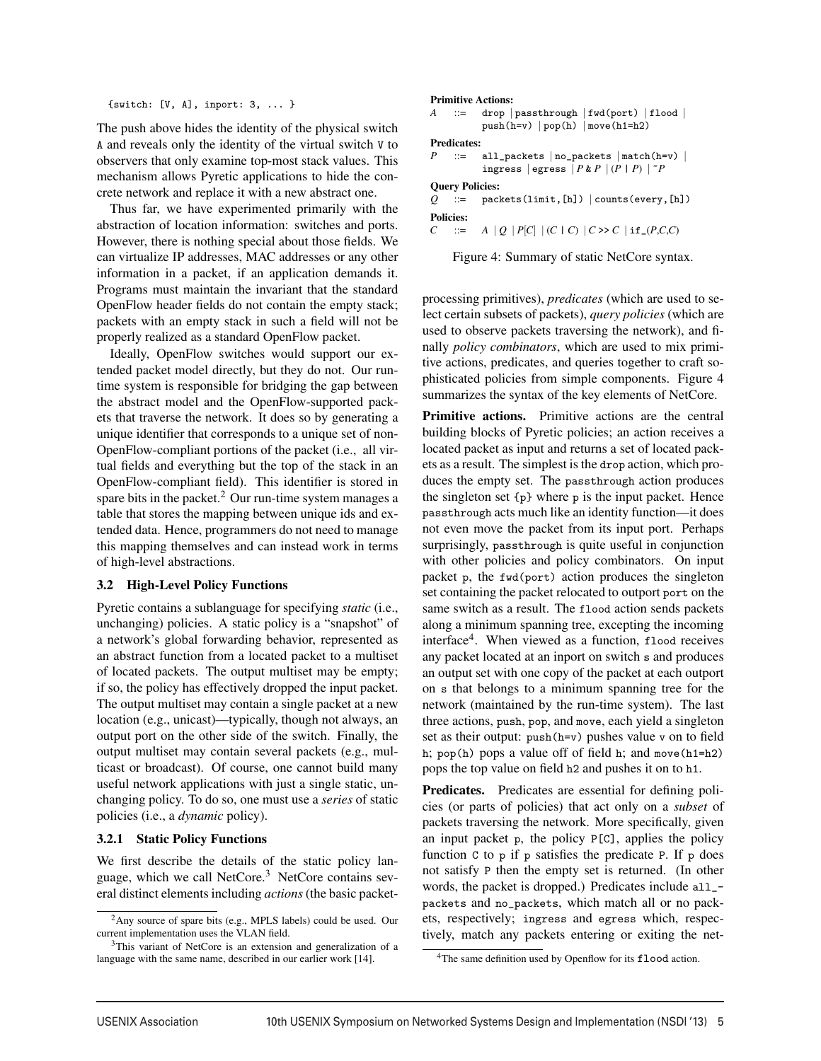{switch: [V, A], inport: 3, ... }

The push above hides the identity of the physical switch A and reveals only the identity of the virtual switch V to observers that only examine top-most stack values. This mechanism allows Pyretic applications to hide the concrete network and replace it with a new abstract one.

Thus far, we have experimented primarily with the abstraction of location information: switches and ports. However, there is nothing special about those fields. We can virtualize IP addresses, MAC addresses or any other information in a packet, if an application demands it. Programs must maintain the invariant that the standard OpenFlow header fields do not contain the empty stack; packets with an empty stack in such a field will not be properly realized as a standard OpenFlow packet.

Ideally, OpenFlow switches would support our extended packet model directly, but they do not. Our runtime system is responsible for bridging the gap between the abstract model and the OpenFlow-supported packets that traverse the network. It does so by generating a unique identifier that corresponds to a unique set of non-OpenFlow-compliant portions of the packet (i.e., all virtual fields and everything but the top of the stack in an OpenFlow-compliant field). This identifier is stored in spare bits in the packet.<sup>2</sup> Our run-time system manages a table that stores the mapping between unique ids and extended data. Hence, programmers do not need to manage this mapping themselves and can instead work in terms of high-level abstractions.

#### 3.2 High-Level Policy Functions

Pyretic contains a sublanguage for specifying *static* (i.e., unchanging) policies. A static policy is a "snapshot" of a network's global forwarding behavior, represented as an abstract function from a located packet to a multiset of located packets. The output multiset may be empty; if so, the policy has effectively dropped the input packet. The output multiset may contain a single packet at a new location (e.g., unicast)—typically, though not always, an output port on the other side of the switch. Finally, the output multiset may contain several packets (e.g., multicast or broadcast). Of course, one cannot build many useful network applications with just a single static, unchanging policy. To do so, one must use a *series* of static policies (i.e., a *dynamic* policy).

#### 3.2.1 Static Policy Functions

We first describe the details of the static policy language, which we call NetCore.<sup>3</sup> NetCore contains several distinct elements including *actions* (the basic packet-

#### Primitive Actions:

```
A ::= drop | passthrough | fwd(port) | flood |
     push(h=v) | pop(h) | move(h1=h2)
```
Predicates:

| P |                                             |  | $\therefore$ all_packets   no_packets   match(h=v) |  |
|---|---------------------------------------------|--|----------------------------------------------------|--|
|   | ingress   egress $ P \& P   (P   P)   ^r P$ |  |                                                    |  |

Query Policies:

*Q* ::= packets(limit,[h]) | counts(every,[h]) Policies:

*C* ::= *A* | *Q* | *P*[*C*] | (*C* | *C*) | *C* >> *C* | if (*P*,*C*,*C*)

Figure 4: Summary of static NetCore syntax.

processing primitives), *predicates* (which are used to select certain subsets of packets), *query policies* (which are used to observe packets traversing the network), and finally *policy combinators*, which are used to mix primitive actions, predicates, and queries together to craft sophisticated policies from simple components. Figure 4 summarizes the syntax of the key elements of NetCore.

Primitive actions. Primitive actions are the central building blocks of Pyretic policies; an action receives a located packet as input and returns a set of located packets as a result. The simplest is the drop action, which produces the empty set. The passthrough action produces the singleton set {p} where p is the input packet. Hence passthrough acts much like an identity function—it does not even move the packet from its input port. Perhaps surprisingly, passthrough is quite useful in conjunction with other policies and policy combinators. On input packet p, the fwd(port) action produces the singleton set containing the packet relocated to outport port on the same switch as a result. The flood action sends packets along a minimum spanning tree, excepting the incoming interface<sup>4</sup>. When viewed as a function, flood receives any packet located at an inport on switch s and produces an output set with one copy of the packet at each outport on s that belongs to a minimum spanning tree for the network (maintained by the run-time system). The last three actions, push, pop, and move, each yield a singleton set as their output: push(h=v) pushes value v on to field h; pop(h) pops a value off of field h; and move(h1=h2) pops the top value on field h2 and pushes it on to h1.

Predicates. Predicates are essential for defining policies (or parts of policies) that act only on a *subset* of packets traversing the network. More specifically, given an input packet p, the policy P[C], applies the policy function C to p if p satisfies the predicate P. If p does not satisfy P then the empty set is returned. (In other words, the packet is dropped.) Predicates include all\_ packets and no\_packets, which match all or no packets, respectively; ingress and egress which, respectively, match any packets entering or exiting the net-

<sup>2</sup>Any source of spare bits (e.g., MPLS labels) could be used. Our current implementation uses the VLAN field.

<sup>&</sup>lt;sup>3</sup>This variant of NetCore is an extension and generalization of a language with the same name, described in our earlier work [14].

<sup>&</sup>lt;sup>4</sup>The same definition used by Openflow for its flood action.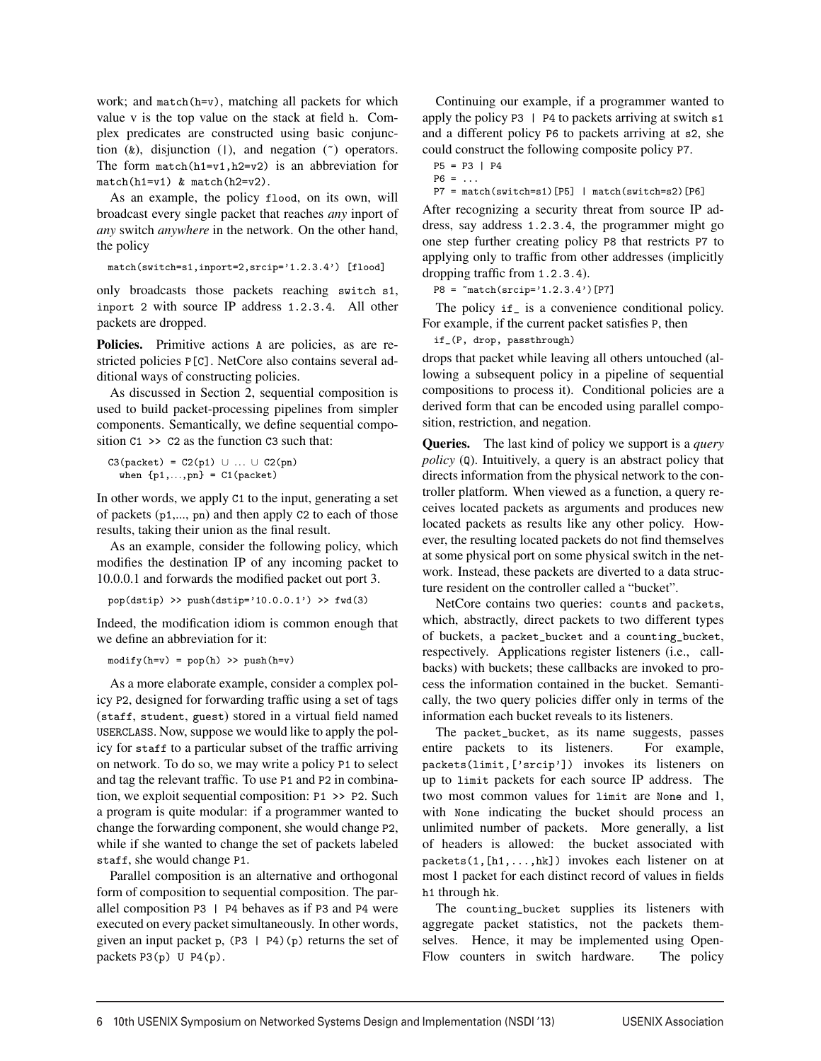work; and match(h=v), matching all packets for which value v is the top value on the stack at field h. Complex predicates are constructed using basic conjunction  $(k)$ , disjunction  $(1)$ , and negation  $(2)$  operators. The form  $match(h1=v1,h2=v2)$  is an abbreviation for match(h1=v1) & match(h2=v2).

As an example, the policy flood, on its own, will broadcast every single packet that reaches *any* inport of *any* switch *anywhere* in the network. On the other hand, the policy

```
match(switch=s1,inport=2,srcip='1.2.3.4') [flood]
```
only broadcasts those packets reaching switch s1, inport 2 with source IP address 1.2.3.4. All other packets are dropped.

Policies. Primitive actions A are policies, as are restricted policies P[C]. NetCore also contains several additional ways of constructing policies.

As discussed in Section 2, sequential composition is used to build packet-processing pipelines from simpler components. Semantically, we define sequential composition  $C_1$  >>  $C_2$  as the function  $C_3$  such that:

```
C3(packet) = C2(p1) \cup ... \cup C2(pn)when {p1,...,pn} = C1(packet)
```
In other words, we apply C1 to the input, generating a set of packets (p1,..., pn) and then apply C2 to each of those results, taking their union as the final result.

As an example, consider the following policy, which modifies the destination IP of any incoming packet to 10.0.0.1 and forwards the modified packet out port 3.

```
pop(dstrip) \gg push(dstrip='10.0.0.1') \gg fwd(3)
```
Indeed, the modification idiom is common enough that we define an abbreviation for it:

 $\text{modify}(h=v) = \text{pop}(h) \implies \text{push}(h=v)$ 

As a more elaborate example, consider a complex policy P2, designed for forwarding traffic using a set of tags (staff, student, guest) stored in a virtual field named USERCLASS. Now, suppose we would like to apply the policy for staff to a particular subset of the traffic arriving on network. To do so, we may write a policy P1 to select and tag the relevant traffic. To use P1 and P2 in combination, we exploit sequential composition: P1 >> P2. Such a program is quite modular: if a programmer wanted to change the forwarding component, she would change P2, while if she wanted to change the set of packets labeled staff, she would change P1.

Parallel composition is an alternative and orthogonal form of composition to sequential composition. The parallel composition P3 | P4 behaves as if P3 and P4 were executed on every packet simultaneously. In other words, given an input packet p,  $(P3 | P4)(p)$  returns the set of packets P3(p) U P4(p).

Continuing our example, if a programmer wanted to apply the policy P3  $\mid$  P4 to packets arriving at switch s1 and a different policy P6 to packets arriving at s2, she could construct the following composite policy P7.

```
P5 = P3 | P4
P6 = ...
```
 $P7 = match(switch=s1)[P5] | match(switch=s2)[P6]$ 

After recognizing a security threat from source IP address, say address 1.2.3.4, the programmer might go one step further creating policy P8 that restricts P7 to applying only to traffic from other addresses (implicitly dropping traffic from 1.2.3.4).

 $P8 = \text{``match}(srcip='1.2.3.4')$ [P7]

The policy if\_ is a convenience conditional policy. For example, if the current packet satisfies P, then

if\_(P, drop, passthrough)

drops that packet while leaving all others untouched (allowing a subsequent policy in a pipeline of sequential compositions to process it). Conditional policies are a derived form that can be encoded using parallel composition, restriction, and negation.

Queries. The last kind of policy we support is a *query policy* (Q). Intuitively, a query is an abstract policy that directs information from the physical network to the controller platform. When viewed as a function, a query receives located packets as arguments and produces new located packets as results like any other policy. However, the resulting located packets do not find themselves at some physical port on some physical switch in the network. Instead, these packets are diverted to a data structure resident on the controller called a "bucket".

NetCore contains two queries: counts and packets, which, abstractly, direct packets to two different types of buckets, a packet\_bucket and a counting\_bucket, respectively. Applications register listeners (i.e., callbacks) with buckets; these callbacks are invoked to process the information contained in the bucket. Semantically, the two query policies differ only in terms of the information each bucket reveals to its listeners.

The packet\_bucket, as its name suggests, passes entire packets to its listeners. For example, packets(limit,['srcip']) invokes its listeners on up to limit packets for each source IP address. The two most common values for limit are None and 1, with None indicating the bucket should process an unlimited number of packets. More generally, a list of headers is allowed: the bucket associated with packets(1,[h1,...,hk]) invokes each listener on at most 1 packet for each distinct record of values in fields h1 through hk.

The counting\_bucket supplies its listeners with aggregate packet statistics, not the packets themselves. Hence, it may be implemented using Open-Flow counters in switch hardware. The policy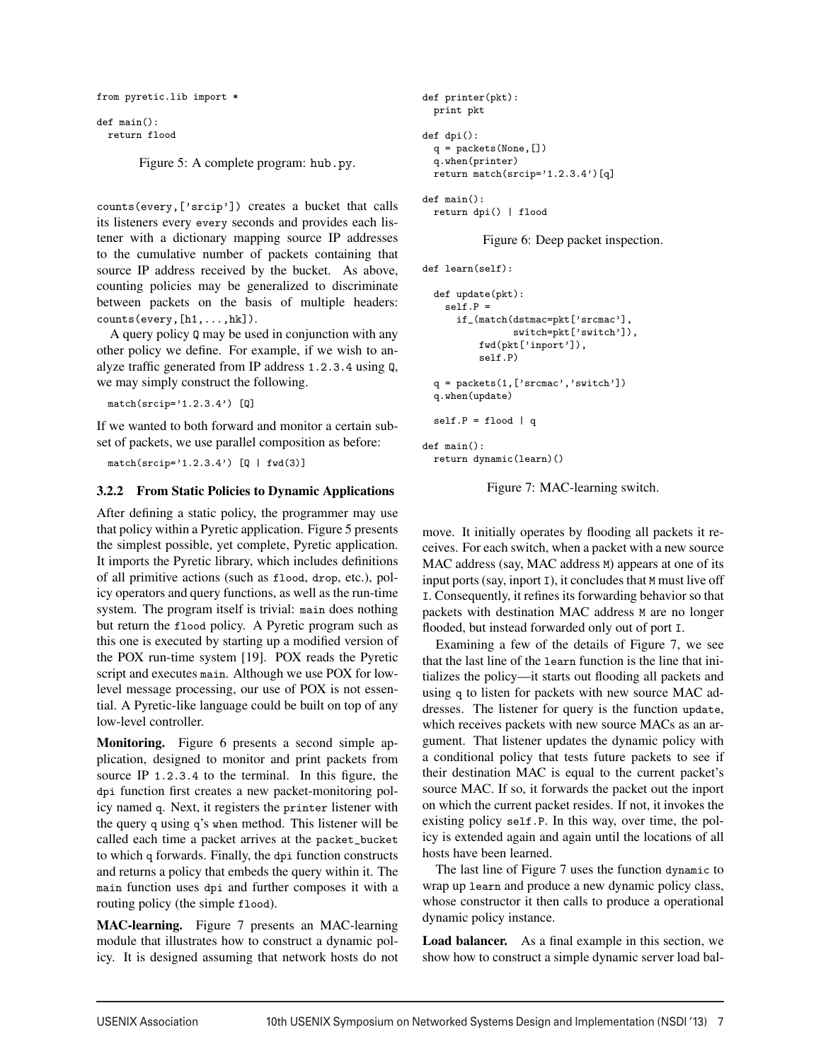```
from pyretic.lib import *
```

```
def main():
  return flood
```
Figure 5: A complete program: hub.py.

counts(every,['srcip']) creates a bucket that calls its listeners every every seconds and provides each listener with a dictionary mapping source IP addresses to the cumulative number of packets containing that source IP address received by the bucket. As above, counting policies may be generalized to discriminate between packets on the basis of multiple headers: counts(every,[h1,...,hk]).

A query policy Q may be used in conjunction with any other policy we define. For example, if we wish to analyze traffic generated from IP address 1.2.3.4 using Q, we may simply construct the following.

 $match(srcip='1.2.3.4')$  [Q]

If we wanted to both forward and monitor a certain subset of packets, we use parallel composition as before:

 $match(srcip='1.2.3.4') [Q | fwd(3)]$ 

### 3.2.2 From Static Policies to Dynamic Applications

After defining a static policy, the programmer may use that policy within a Pyretic application. Figure 5 presents the simplest possible, yet complete, Pyretic application. It imports the Pyretic library, which includes definitions of all primitive actions (such as flood, drop, etc.), policy operators and query functions, as well as the run-time system. The program itself is trivial: main does nothing but return the flood policy. A Pyretic program such as this one is executed by starting up a modified version of the POX run-time system [19]. POX reads the Pyretic script and executes main. Although we use POX for lowlevel message processing, our use of POX is not essential. A Pyretic-like language could be built on top of any low-level controller.

Monitoring. Figure 6 presents a second simple application, designed to monitor and print packets from source IP 1.2.3.4 to the terminal. In this figure, the dpi function first creates a new packet-monitoring policy named q. Next, it registers the printer listener with the query q using q's when method. This listener will be called each time a packet arrives at the packet\_bucket to which q forwards. Finally, the dpi function constructs and returns a policy that embeds the query within it. The main function uses dpi and further composes it with a routing policy (the simple flood).

MAC-learning. Figure 7 presents an MAC-learning module that illustrates how to construct a dynamic policy. It is designed assuming that network hosts do not

```
def printer(pkt):
  print pkt
def dpi():
  q = packets(None,[])
  q.when(printer)
  return match(srcip='1.2.3.4')[q]
def main():
  return dpi() | flood
```
Figure 6: Deep packet inspection.

```
def learn(self):
```

```
def update(pkt):
    self.P =if_(match(dstmac=pkt['srcmac'],
                switch=pkt['switch']),
          fwd(pkt['inport']),
          self.P)
 q = packets(1,['srcmac','switch'])
  q.when(update)
  self.P = flood | qdef main():
 return dynamic(learn)()
```
Figure 7: MAC-learning switch.

move. It initially operates by flooding all packets it receives. For each switch, when a packet with a new source MAC address (say, MAC address M) appears at one of its input ports (say, inport I), it concludes that M must live off I. Consequently, it refines its forwarding behavior so that packets with destination MAC address M are no longer flooded, but instead forwarded only out of port I.

Examining a few of the details of Figure 7, we see that the last line of the learn function is the line that initializes the policy—it starts out flooding all packets and using q to listen for packets with new source MAC addresses. The listener for query is the function update, which receives packets with new source MACs as an argument. That listener updates the dynamic policy with a conditional policy that tests future packets to see if their destination MAC is equal to the current packet's source MAC. If so, it forwards the packet out the inport on which the current packet resides. If not, it invokes the existing policy self.P. In this way, over time, the policy is extended again and again until the locations of all hosts have been learned.

The last line of Figure 7 uses the function dynamic to wrap up learn and produce a new dynamic policy class, whose constructor it then calls to produce a operational dynamic policy instance.

Load balancer. As a final example in this section, we show how to construct a simple dynamic server load bal-

<u>.</u>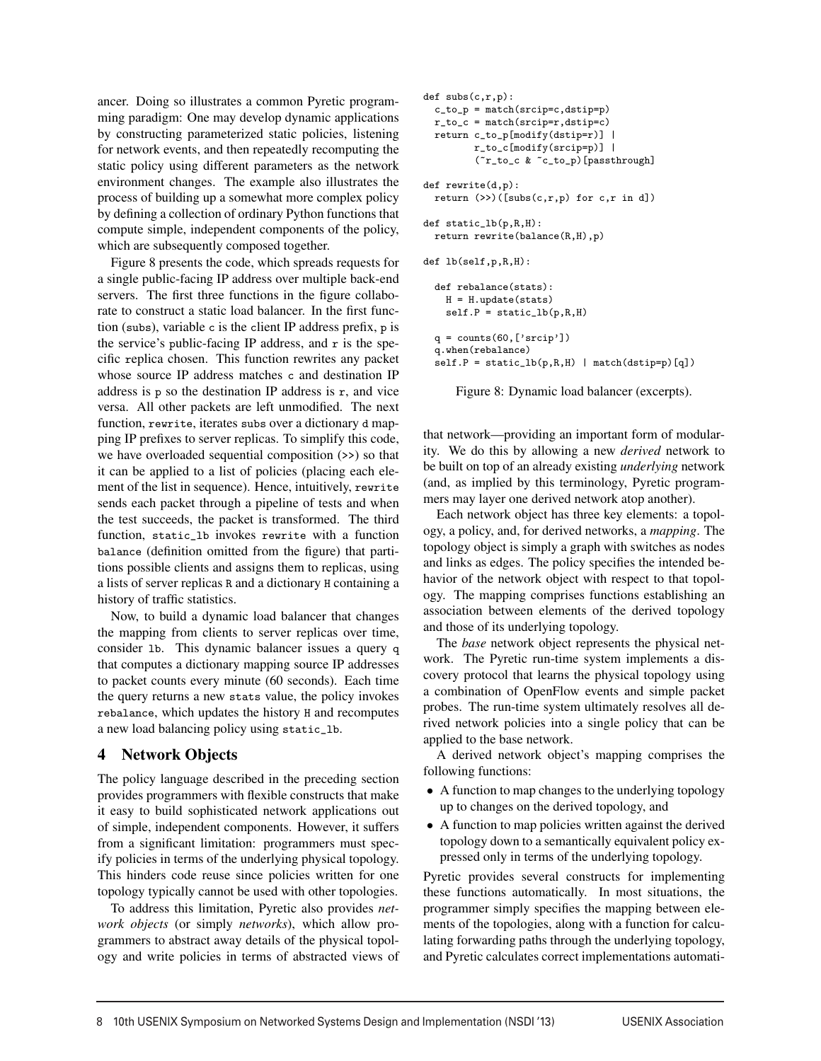ancer. Doing so illustrates a common Pyretic programming paradigm: One may develop dynamic applications by constructing parameterized static policies, listening for network events, and then repeatedly recomputing the static policy using different parameters as the network environment changes. The example also illustrates the process of building up a somewhat more complex policy by defining a collection of ordinary Python functions that compute simple, independent components of the policy, which are subsequently composed together.

Figure 8 presents the code, which spreads requests for a single public-facing IP address over multiple back-end servers. The first three functions in the figure collaborate to construct a static load balancer. In the first function (subs), variable c is the client IP address prefix, p is the service's public-facing IP address, and  $r$  is the specific replica chosen. This function rewrites any packet whose source IP address matches c and destination IP address is  $p$  so the destination IP address is  $r$ , and vice versa. All other packets are left unmodified. The next function, rewrite, iterates subs over a dictionary d mapping IP prefixes to server replicas. To simplify this code, we have overloaded sequential composition  $(\gg)$  so that it can be applied to a list of policies (placing each element of the list in sequence). Hence, intuitively, rewrite sends each packet through a pipeline of tests and when the test succeeds, the packet is transformed. The third function, static\_lb invokes rewrite with a function balance (definition omitted from the figure) that partitions possible clients and assigns them to replicas, using a lists of server replicas R and a dictionary H containing a history of traffic statistics.

Now, to build a dynamic load balancer that changes the mapping from clients to server replicas over time, consider lb. This dynamic balancer issues a query q that computes a dictionary mapping source IP addresses to packet counts every minute (60 seconds). Each time the query returns a new stats value, the policy invokes rebalance, which updates the history H and recomputes a new load balancing policy using static\_lb.

## 4 Network Objects

The policy language described in the preceding section provides programmers with flexible constructs that make it easy to build sophisticated network applications out of simple, independent components. However, it suffers from a significant limitation: programmers must specify policies in terms of the underlying physical topology. This hinders code reuse since policies written for one topology typically cannot be used with other topologies.

To address this limitation, Pyretic also provides *network objects* (or simply *networks*), which allow programmers to abstract away details of the physical topology and write policies in terms of abstracted views of

```
def subs(c,r,p):
  c_to_p = match(srcip=c,dstip=p)
  r_to_c = match(srcip=r,dstip=c)
  return c_to_p[modify(dstip=r)] |
         r_to_c[modify(srcip=p)] |
         (~r_to_c & ~c_to_p)[passthrough]
def rewrite(d,p):
 return (\gg)([subs(c,r,p) for c,r in d])
def static_lb(p,R,H):
  return rewrite(balance(R,H),p)
def lb(self,p,R,H):
  def rebalance(stats):
    H = H.update(stats)
    self.P = static_l(b(p,R,H))
```

```
q = \text{counts}(60, ['srcip')q.when(rebalance)
self.P = static_l(b(p,R,H) | match(dstrip=p)[q])
```

```
Figure 8: Dynamic load balancer (excerpts).
```
that network—providing an important form of modularity. We do this by allowing a new *derived* network to be built on top of an already existing *underlying* network (and, as implied by this terminology, Pyretic programmers may layer one derived network atop another).

Each network object has three key elements: a topology, a policy, and, for derived networks, a *mapping*. The topology object is simply a graph with switches as nodes and links as edges. The policy specifies the intended behavior of the network object with respect to that topology. The mapping comprises functions establishing an association between elements of the derived topology and those of its underlying topology.

The *base* network object represents the physical network. The Pyretic run-time system implements a discovery protocol that learns the physical topology using a combination of OpenFlow events and simple packet probes. The run-time system ultimately resolves all derived network policies into a single policy that can be applied to the base network.

A derived network object's mapping comprises the following functions:

- A function to map changes to the underlying topology up to changes on the derived topology, and
- A function to map policies written against the derived topology down to a semantically equivalent policy expressed only in terms of the underlying topology.

Pyretic provides several constructs for implementing these functions automatically. In most situations, the programmer simply specifies the mapping between elements of the topologies, along with a function for calculating forwarding paths through the underlying topology, and Pyretic calculates correct implementations automati-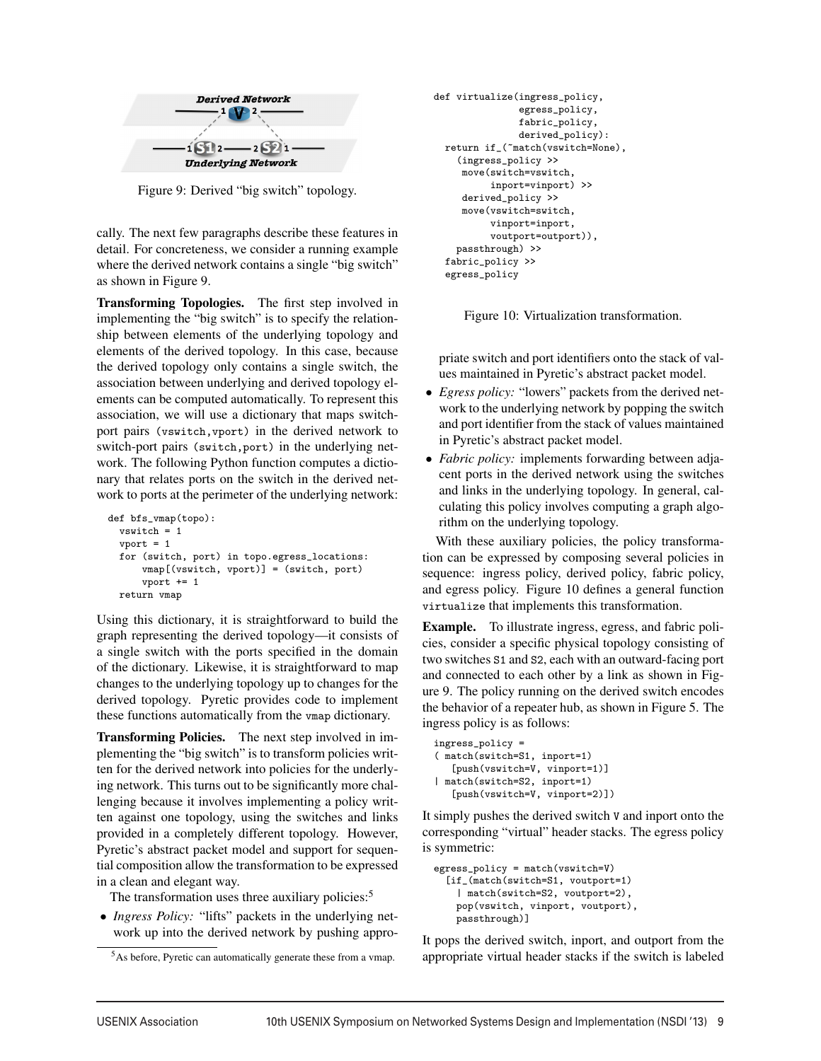

Figure 9: Derived "big switch" topology.

cally. The next few paragraphs describe these features in detail. For concreteness, we consider a running example where the derived network contains a single "big switch" as shown in Figure 9.

Transforming Topologies. The first step involved in implementing the "big switch" is to specify the relationship between elements of the underlying topology and elements of the derived topology. In this case, because the derived topology only contains a single switch, the association between underlying and derived topology elements can be computed automatically. To represent this association, we will use a dictionary that maps switchport pairs (vswitch,vport) in the derived network to switch-port pairs (switch,port) in the underlying network. The following Python function computes a dictionary that relates ports on the switch in the derived network to ports at the perimeter of the underlying network:

```
def bfs_vmap(topo):
 vswitch = 1
  vport = 1for (switch, port) in topo.egress_locations:
      vmap[(vswitch, vport)] = (switch, port)
      vport += 1
 return vmap
```
Using this dictionary, it is straightforward to build the graph representing the derived topology—it consists of a single switch with the ports specified in the domain of the dictionary. Likewise, it is straightforward to map changes to the underlying topology up to changes for the derived topology. Pyretic provides code to implement these functions automatically from the vmap dictionary.

Transforming Policies. The next step involved in implementing the "big switch" is to transform policies written for the derived network into policies for the underlying network. This turns out to be significantly more challenging because it involves implementing a policy written against one topology, using the switches and links provided in a completely different topology. However, Pyretic's abstract packet model and support for sequential composition allow the transformation to be expressed in a clean and elegant way.

The transformation uses three auxiliary policies:<sup>5</sup>

• *Ingress Policy:* "lifts" packets in the underlying network up into the derived network by pushing appro-

```
def virtualize(ingress_policy,
               egress_policy,
               fabric_policy,
               derived_policy):
  return if_(~match(vswitch=None),
    (ingress_policy >>
     move(switch=vswitch,
          inport=vinport) >>
     derived_policy >>
     move(vswitch=switch,
          vinport=inport,
          voutport=outport)),
    passthrough) >>
  fabric_policy >>
  egress_policy
```
Figure 10: Virtualization transformation.

priate switch and port identifiers onto the stack of values maintained in Pyretic's abstract packet model.

- *Egress policy:* "lowers" packets from the derived network to the underlying network by popping the switch and port identifier from the stack of values maintained in Pyretic's abstract packet model.
- *Fabric policy:* implements forwarding between adjacent ports in the derived network using the switches and links in the underlying topology. In general, calculating this policy involves computing a graph algorithm on the underlying topology.

With these auxiliary policies, the policy transformation can be expressed by composing several policies in sequence: ingress policy, derived policy, fabric policy, and egress policy. Figure 10 defines a general function virtualize that implements this transformation.

Example. To illustrate ingress, egress, and fabric policies, consider a specific physical topology consisting of two switches S1 and S2, each with an outward-facing port and connected to each other by a link as shown in Figure 9. The policy running on the derived switch encodes the behavior of a repeater hub, as shown in Figure 5. The ingress policy is as follows:

```
ingress_policy =
( match(switch=S1, inport=1)
   [push(vswitch=V, vinport=1)]
| match(switch=S2, inport=1)
   [push(vswitch=V, vinport=2)])
```
It simply pushes the derived switch V and inport onto the corresponding "virtual" header stacks. The egress policy is symmetric:

```
egress_policy = match(vswitch=V)
  [if_(match(switch=S1, voutport=1)
    | match(switch=S2, voutport=2),
   pop(vswitch, vinport, voutport),
   passthrough)]
```
It pops the derived switch, inport, and outport from the appropriate virtual header stacks if the switch is labeled

<sup>5</sup>As before, Pyretic can automatically generate these from a vmap.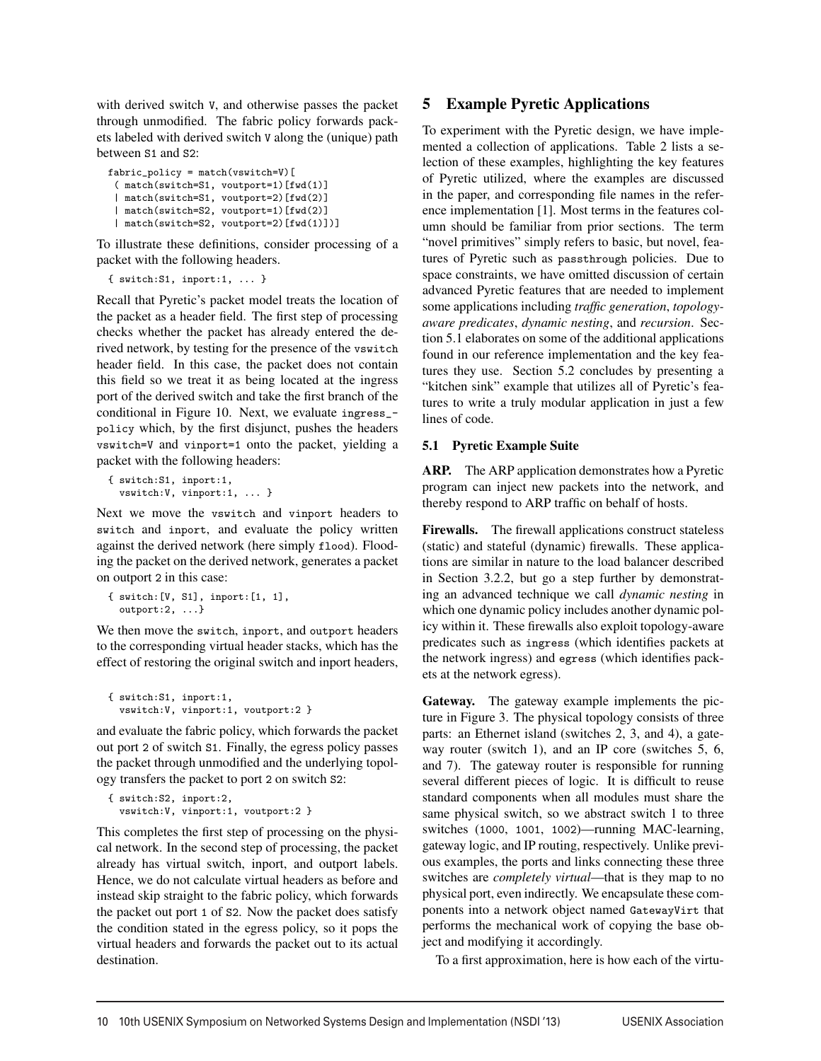with derived switch V, and otherwise passes the packet through unmodified. The fabric policy forwards packets labeled with derived switch V along the (unique) path between S1 and S2:

```
fabric_policy = match(vswitch=V)[
 ( match(switch=S1, voutport=1)[fwd(1)]
 | match(switch=S1, voutport=2)[fwd(2)]
 | match(switch=S2, voutport=1)[fwd(2)]
 | match(switch=S2, voutport=2)[fwd(1)])]
```
To illustrate these definitions, consider processing of a packet with the following headers.

```
{ switch:S1, inport:1, ... }
```
Recall that Pyretic's packet model treats the location of the packet as a header field. The first step of processing checks whether the packet has already entered the derived network, by testing for the presence of the vswitch header field. In this case, the packet does not contain this field so we treat it as being located at the ingress port of the derived switch and take the first branch of the conditional in Figure 10. Next, we evaluate ingress\_ policy which, by the first disjunct, pushes the headers vswitch=V and vinport=1 onto the packet, yielding a packet with the following headers:

```
{ switch:S1, inport:1,
 vswitch:V, vinport:1, ... }
```
Next we move the vswitch and vinport headers to switch and inport, and evaluate the policy written against the derived network (here simply flood). Flooding the packet on the derived network, generates a packet on outport 2 in this case:

```
{ switch:[V, S1], inport:[1, 1],
 outport:2, ...}
```
We then move the switch, inport, and outport headers to the corresponding virtual header stacks, which has the effect of restoring the original switch and inport headers,

```
{ switch:S1, inport:1,
 vswitch:V, vinport:1, voutport:2 }
```
and evaluate the fabric policy, which forwards the packet out port 2 of switch S1. Finally, the egress policy passes the packet through unmodified and the underlying topology transfers the packet to port 2 on switch S2:

```
{ switch:S2, inport:2,
 vswitch:V, vinport:1, voutport:2 }
```
This completes the first step of processing on the physical network. In the second step of processing, the packet already has virtual switch, inport, and outport labels. Hence, we do not calculate virtual headers as before and instead skip straight to the fabric policy, which forwards the packet out port 1 of S2. Now the packet does satisfy the condition stated in the egress policy, so it pops the virtual headers and forwards the packet out to its actual destination.

# 5 Example Pyretic Applications

To experiment with the Pyretic design, we have implemented a collection of applications. Table 2 lists a selection of these examples, highlighting the key features of Pyretic utilized, where the examples are discussed in the paper, and corresponding file names in the reference implementation [1]. Most terms in the features column should be familiar from prior sections. The term "novel primitives" simply refers to basic, but novel, features of Pyretic such as passthrough policies. Due to space constraints, we have omitted discussion of certain advanced Pyretic features that are needed to implement some applications including *traffic generation*, *topologyaware predicates*, *dynamic nesting*, and *recursion*. Section 5.1 elaborates on some of the additional applications found in our reference implementation and the key features they use. Section 5.2 concludes by presenting a "kitchen sink" example that utilizes all of Pyretic's features to write a truly modular application in just a few lines of code.

## 5.1 Pyretic Example Suite

ARP. The ARP application demonstrates how a Pyretic program can inject new packets into the network, and thereby respond to ARP traffic on behalf of hosts.

Firewalls. The firewall applications construct stateless (static) and stateful (dynamic) firewalls. These applications are similar in nature to the load balancer described in Section 3.2.2, but go a step further by demonstrating an advanced technique we call *dynamic nesting* in which one dynamic policy includes another dynamic policy within it. These firewalls also exploit topology-aware predicates such as ingress (which identifies packets at the network ingress) and egress (which identifies packets at the network egress).

Gateway. The gateway example implements the picture in Figure 3. The physical topology consists of three parts: an Ethernet island (switches 2, 3, and 4), a gateway router (switch 1), and an IP core (switches 5, 6, and 7). The gateway router is responsible for running several different pieces of logic. It is difficult to reuse standard components when all modules must share the same physical switch, so we abstract switch 1 to three switches (1000, 1001, 1002)—running MAC-learning, gateway logic, and IP routing, respectively. Unlike previous examples, the ports and links connecting these three switches are *completely virtual*—that is they map to no physical port, even indirectly. We encapsulate these components into a network object named GatewayVirt that performs the mechanical work of copying the base object and modifying it accordingly.

To a first approximation, here is how each of the virtu-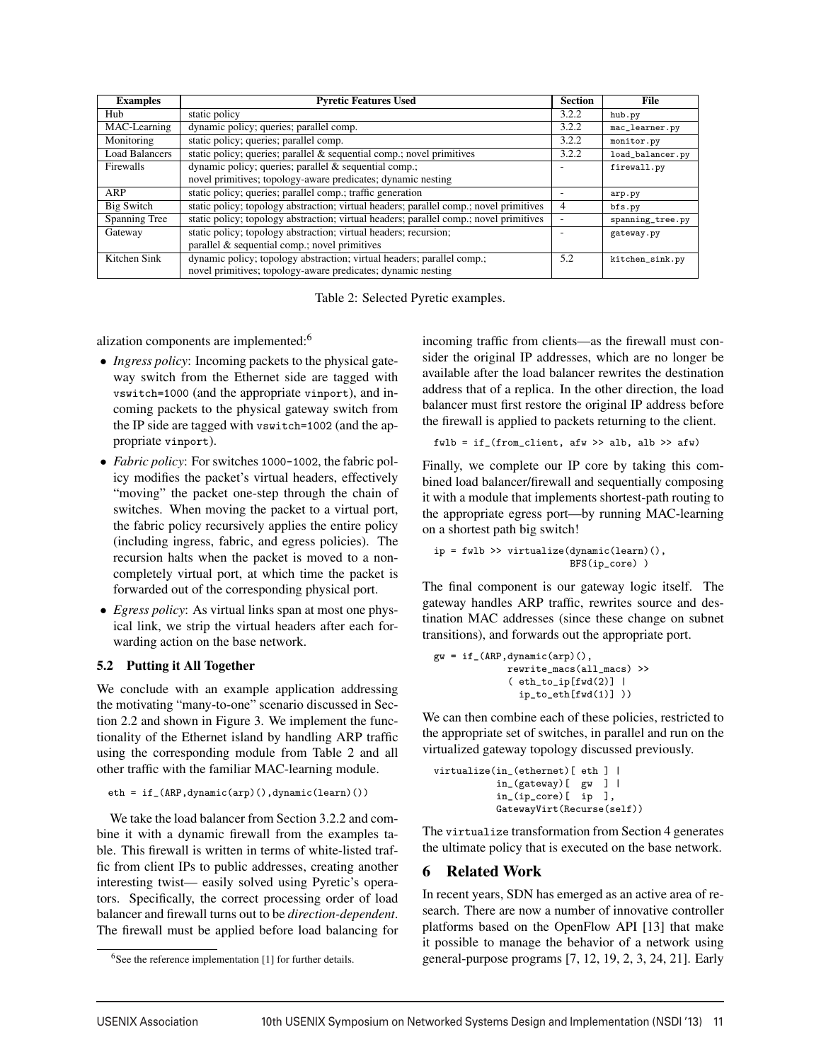| <b>Examples</b>       | <b>Pyretic Features Used</b>                                                           | <b>Section</b> | <b>File</b>      |
|-----------------------|----------------------------------------------------------------------------------------|----------------|------------------|
| Hub                   | static policy                                                                          | 3.2.2          | hub.py           |
| MAC-Learning          | dynamic policy; queries; parallel comp.                                                | 3.2.2          | mac_learner.py   |
| Monitoring            | static policy; queries; parallel comp.                                                 | 3.2.2          | monitor.py       |
| <b>Load Balancers</b> | static policy; queries; parallel $\&$ sequential comp.; novel primitives               | 3.2.2          | load_balancer.py |
| <b>Firewalls</b>      | dynamic policy; queries; parallel & sequential comp.;                                  |                | firewall.py      |
|                       | novel primitives; topology-aware predicates; dynamic nesting                           |                |                  |
| ARP                   | static policy; queries; parallel comp.; traffic generation                             |                | arp.py           |
| Big Switch            | static policy; topology abstraction; virtual headers; parallel comp.; novel primitives | 4              | bfs.py           |
| Spanning Tree         | static policy; topology abstraction; virtual headers; parallel comp.; novel primitives |                | spanning_tree.py |
| Gateway               | static policy; topology abstraction; virtual headers; recursion;                       | -              | gateway.py       |
|                       | parallel & sequential comp.; novel primitives                                          |                |                  |
| Kitchen Sink          | dynamic policy; topology abstraction; virtual headers; parallel comp.;                 | 5.2            | kitchen_sink.py  |
|                       | novel primitives; topology-aware predicates; dynamic nesting                           |                |                  |

Table 2: Selected Pyretic examples.

alization components are implemented:<sup>6</sup>

- *Ingress policy*: Incoming packets to the physical gateway switch from the Ethernet side are tagged with vswitch=1000 (and the appropriate vinport), and incoming packets to the physical gateway switch from the IP side are tagged with vswitch=1002 (and the appropriate vinport).
- *Fabric policy*: For switches 1000-1002, the fabric policy modifies the packet's virtual headers, effectively "moving" the packet one-step through the chain of switches. When moving the packet to a virtual port, the fabric policy recursively applies the entire policy (including ingress, fabric, and egress policies). The recursion halts when the packet is moved to a noncompletely virtual port, at which time the packet is forwarded out of the corresponding physical port.
- *Egress policy*: As virtual links span at most one physical link, we strip the virtual headers after each forwarding action on the base network.

### 5.2 Putting it All Together

We conclude with an example application addressing the motivating "many-to-one" scenario discussed in Section 2.2 and shown in Figure 3. We implement the functionality of the Ethernet island by handling ARP traffic using the corresponding module from Table 2 and all other traffic with the familiar MAC-learning module.

```
eth = if_(ARP,dynamic(arp)(),dynamic(learn)())
```
We take the load balancer from Section 3.2.2 and combine it with a dynamic firewall from the examples table. This firewall is written in terms of white-listed traffic from client IPs to public addresses, creating another interesting twist— easily solved using Pyretic's operators. Specifically, the correct processing order of load balancer and firewall turns out to be *direction-dependent*. The firewall must be applied before load balancing for incoming traffic from clients—as the firewall must consider the original IP addresses, which are no longer be available after the load balancer rewrites the destination address that of a replica. In the other direction, the load balancer must first restore the original IP address before the firewall is applied to packets returning to the client.

$$
fwlb = if_{\_}(from_{\_}client, afw \gt\gt alb, alb \gt\gt afw)
$$

Finally, we complete our IP core by taking this combined load balancer/firewall and sequentially composing it with a module that implements shortest-path routing to the appropriate egress port—by running MAC-learning on a shortest path big switch!

$$
ip = fwlb \gg \text{virtualize}(\text{dynamic}(\text{learn})).
$$
  

$$
BFS(ip\_core) )
$$

The final component is our gateway logic itself. The gateway handles ARP traffic, rewrites source and destination MAC addresses (since these change on subnet transitions), and forwards out the appropriate port.

```
gw = if_{-}(ARP, dynamic(arp)),
              rewrite_macs(all_macs) >>
              (\text{eth\_to\_ip}[fwd(2)]ip_to_eth[fwd(1)] ))
```
We can then combine each of these policies, restricted to the appropriate set of switches, in parallel and run on the virtualized gateway topology discussed previously.

```
virtualize(in_(ethernet)[ eth ] |
          in_(gateway)[ gw ] |
          in_(ip_core)[ ip ],
          GatewayVirt(Recurse(self))
```
The virtualize transformation from Section 4 generates the ultimate policy that is executed on the base network.

## 6 Related Work

In recent years, SDN has emerged as an active area of research. There are now a number of innovative controller platforms based on the OpenFlow API [13] that make it possible to manage the behavior of a network using general-purpose programs [7, 12, 19, 2, 3, 24, 21]. Early

 $6$ See the reference implementation [1] for further details.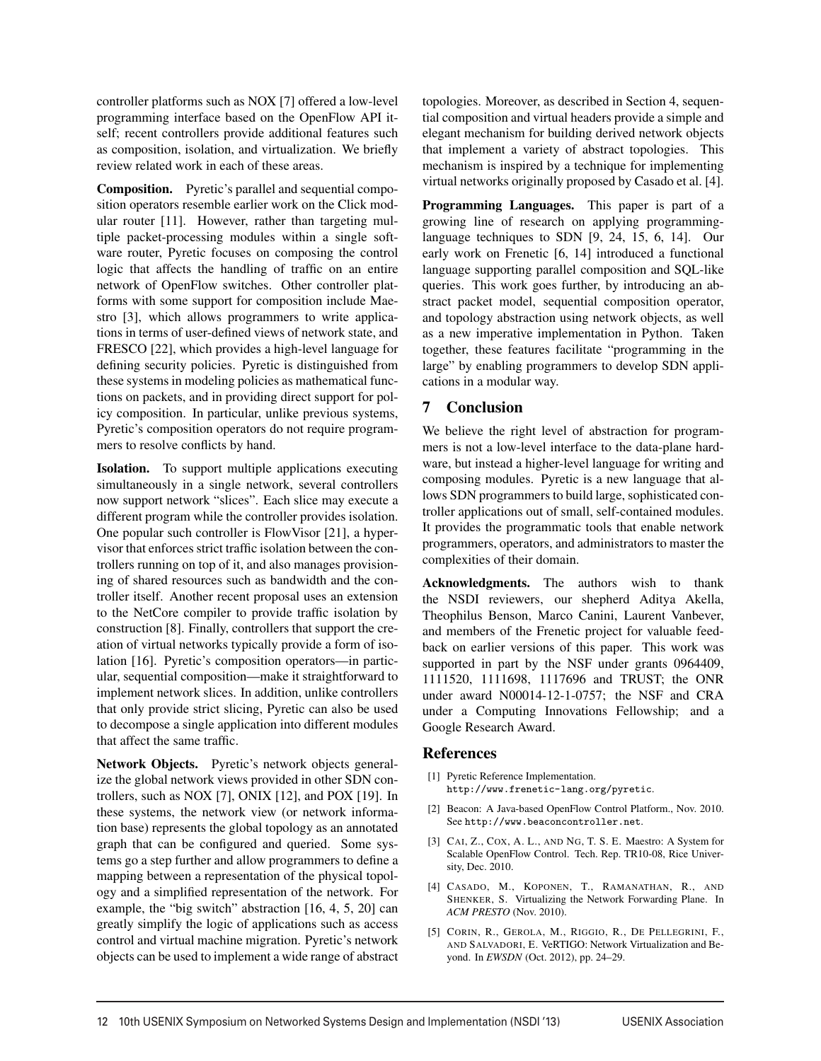controller platforms such as NOX [7] offered a low-level programming interface based on the OpenFlow API itself; recent controllers provide additional features such as composition, isolation, and virtualization. We briefly review related work in each of these areas.

Composition. Pyretic's parallel and sequential composition operators resemble earlier work on the Click modular router [11]. However, rather than targeting multiple packet-processing modules within a single software router, Pyretic focuses on composing the control logic that affects the handling of traffic on an entire network of OpenFlow switches. Other controller platforms with some support for composition include Maestro [3], which allows programmers to write applications in terms of user-defined views of network state, and FRESCO [22], which provides a high-level language for defining security policies. Pyretic is distinguished from these systems in modeling policies as mathematical functions on packets, and in providing direct support for policy composition. In particular, unlike previous systems, Pyretic's composition operators do not require programmers to resolve conflicts by hand.

Isolation. To support multiple applications executing simultaneously in a single network, several controllers now support network "slices". Each slice may execute a different program while the controller provides isolation. One popular such controller is FlowVisor [21], a hypervisor that enforces strict traffic isolation between the controllers running on top of it, and also manages provisioning of shared resources such as bandwidth and the controller itself. Another recent proposal uses an extension to the NetCore compiler to provide traffic isolation by construction [8]. Finally, controllers that support the creation of virtual networks typically provide a form of isolation [16]. Pyretic's composition operators—in particular, sequential composition—make it straightforward to implement network slices. In addition, unlike controllers that only provide strict slicing, Pyretic can also be used to decompose a single application into different modules that affect the same traffic.

Network Objects. Pyretic's network objects generalize the global network views provided in other SDN controllers, such as NOX [7], ONIX [12], and POX [19]. In these systems, the network view (or network information base) represents the global topology as an annotated graph that can be configured and queried. Some systems go a step further and allow programmers to define a mapping between a representation of the physical topology and a simplified representation of the network. For example, the "big switch" abstraction [16, 4, 5, 20] can greatly simplify the logic of applications such as access control and virtual machine migration. Pyretic's network objects can be used to implement a wide range of abstract

topologies. Moreover, as described in Section 4, sequential composition and virtual headers provide a simple and elegant mechanism for building derived network objects that implement a variety of abstract topologies. This mechanism is inspired by a technique for implementing virtual networks originally proposed by Casado et al. [4].

Programming Languages. This paper is part of a growing line of research on applying programminglanguage techniques to SDN [9, 24, 15, 6, 14]. Our early work on Frenetic [6, 14] introduced a functional language supporting parallel composition and SQL-like queries. This work goes further, by introducing an abstract packet model, sequential composition operator, and topology abstraction using network objects, as well as a new imperative implementation in Python. Taken together, these features facilitate "programming in the large" by enabling programmers to develop SDN applications in a modular way.

# 7 Conclusion

We believe the right level of abstraction for programmers is not a low-level interface to the data-plane hardware, but instead a higher-level language for writing and composing modules. Pyretic is a new language that allows SDN programmers to build large, sophisticated controller applications out of small, self-contained modules. It provides the programmatic tools that enable network programmers, operators, and administrators to master the complexities of their domain.

Acknowledgments. The authors wish to thank the NSDI reviewers, our shepherd Aditya Akella, Theophilus Benson, Marco Canini, Laurent Vanbever, and members of the Frenetic project for valuable feedback on earlier versions of this paper. This work was supported in part by the NSF under grants 0964409, 1111520, 1111698, 1117696 and TRUST; the ONR under award N00014-12-1-0757; the NSF and CRA under a Computing Innovations Fellowship; and a Google Research Award.

### References

- [1] Pyretic Reference Implementation. http://www.frenetic-lang.org/pyretic.
- [2] Beacon: A Java-based OpenFlow Control Platform., Nov. 2010. See http://www.beaconcontroller.net.
- [3] CAI, Z., COX, A. L., AND NG, T. S. E. Maestro: A System for Scalable OpenFlow Control. Tech. Rep. TR10-08, Rice University, Dec. 2010.
- [4] CASADO, M., KOPONEN, T., RAMANATHAN, R., AND SHENKER, S. Virtualizing the Network Forwarding Plane. In *ACM PRESTO* (Nov. 2010).
- [5] CORIN, R., GEROLA, M., RIGGIO, R., DE PELLEGRINI, F., AND SALVADORI, E. VeRTIGO: Network Virtualization and Beyond. In *EWSDN* (Oct. 2012), pp. 24–29.

 $\overline{a}$